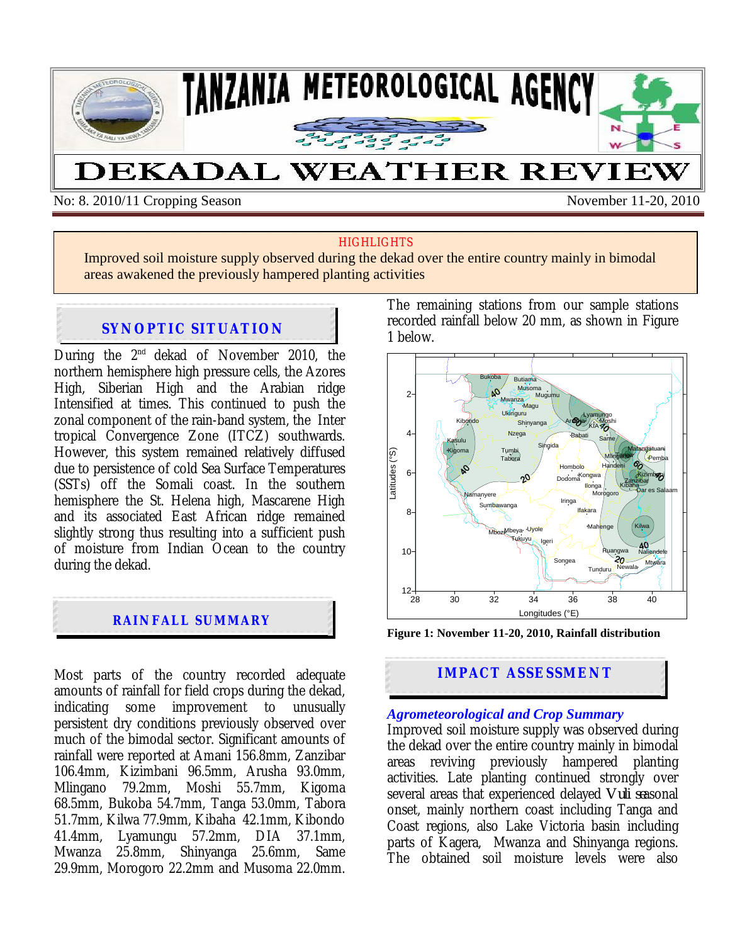

No: 8. 2010/11 Cropping Season November 11-20, 2010

#### **HIGHLIGHTS**

Improved soil moisture supply observed during the dekad over the entire country mainly in bimodal areas awakened the previously hampered planting activities

# **SYNOPTIC SITUATION**

During the  $2^{nd}$  dekad of November 2010, the northern hemisphere high pressure cells, the Azores High, Siberian High and the Arabian ridge Intensified at times. This continued to push the zonal component of the rain-band system, the Inter tropical Convergence Zone (ITCZ) southwards. However, this system remained relatively diffused due to persistence of cold Sea Surface Temperatures (SSTs) off the Somali coast. In the southern hemisphere the St. Helena high, Mascarene High and its associated East African ridge remained slightly strong thus resulting into a sufficient push of moisture from Indian Ocean to the country during the dekad.

## **RAINFALL SUMMARY**

Most parts of the country recorded adequate amounts of rainfall for field crops during the dekad, indicating some improvement to unusually persistent dry conditions previously observed over much of the bimodal sector. Significant amounts of rainfall were reported at Amani 156.8mm, Zanzibar 106.4mm, Kizimbani 96.5mm, Arusha 93.0mm, Mlingano 79.2mm, Moshi 55.7mm, Kigoma 68.5mm, Bukoba 54.7mm, Tanga 53.0mm, Tabora 51.7mm, Kilwa 77.9mm, Kibaha 42.1mm, Kibondo 41.4mm, Lyamungu 57.2mm, DIA 37.1mm, Mwanza 25.8mm, Shinyanga 25.6mm, Same 29.9mm, Morogoro 22.2mm and Musoma 22.0mm. The remaining stations from our sample stations recorded rainfall below 20 mm, as shown in Figure 1 below.



**Figure 1: November 11-20, 2010, Rainfall distribution** 

# **IMPACT ASSESSMENT**

#### *Agrometeorological and Crop Summary*

Improved soil moisture supply was observed during the dekad over the entire country mainly in bimodal areas reviving previously hampered planting activities. Late planting continued strongly over several areas that experienced delayed *Vuli se*asonal onset, mainly northern coast including Tanga and Coast regions, also Lake Victoria basin including parts of Kagera, Mwanza and Shinyanga regions. The obtained soil moisture levels were also